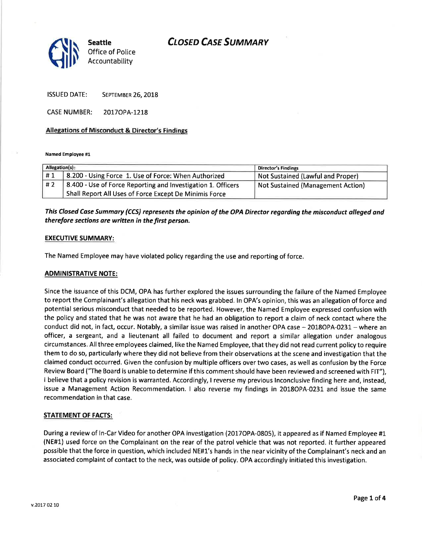## **CLOSED CASE SUMMARY**



ISSUED DATE: SEPTEMBER 26, 2018

CASE NUMBER: 2017OPA-1218

## Allegations of Misconduct & Director's Findings

Named Employee #1

| Allegation(s): |                                                              | <b>Director's Findings</b>        |
|----------------|--------------------------------------------------------------|-----------------------------------|
|                | 8.200 - Using Force 1. Use of Force: When Authorized         | Not Sustained (Lawful and Proper) |
| #2             | 8.400 - Use of Force Reporting and Investigation 1. Officers | Not Sustained (Management Action) |
|                | Shall Report All Uses of Force Except De Minimis Force       |                                   |

This Closed Case Summary (CCS) represents the opinion of the OPA Director regarding the misconduct alleged and therefore sections are written in the first person.

### EXECUTIVE SUMMARY:

The Named Employee may have violated policy regarding the use and reporting of force.

## ADMINISTRATIVE NOTE:

Since the issuance of this DCM, OPA has further explored the issues surrounding the failure of the Named Employee to report the Complainant's allegation that his neck was grabbed. ln OPA's opinion, this was an allegation of force and potential serious misconduct that needed to be reported. However, the Named Employee expressed confusion with the policy and stated that he was not aware that he had an obligation to report a claim of neck contact where the conduct did not, in fact, occur. Notably, a similar issue was raised in another OPA case - 2018OPA-0231 - where an officer, a sergeant, and a lieutenant all failed to document and report a similar allegation under analogous circumstances. Allthree employees claimed, like the Named Employee, that they did not read current policy to require them to do so, particularly where they did not believe from their observations at the scene and investigation that the claimed conduct occurred. Given the confusion by multiple officers over two cases, as well as confusion by the Force Review Board ("The Board is unable to determine if this comment should have been reviewed and screened with FlT"), I believe that a policy revision is warranted. Accordingly, I reverse my previous lnconclusive finding here and, instead, issue a Management Action Recommendation. I also reverse my findings in 2018OPA-0231 and issue the same recommendation in that case.

## STATEMENT OF FACTS:

During a review of ln-Car Video for another OPA investigation (2017OPA-0805), it appeared as if Named Employee #1 (NE#1) used force on the Complainant on the rear of the patrol vehicle that was not reported. lt further appeared possible that the force in question, which included NE#1's hands in the near vicinity of the Complainant's neck and an associated complaint of contact to the neck, was outside of policy. OPA accordingly initiated this investigation.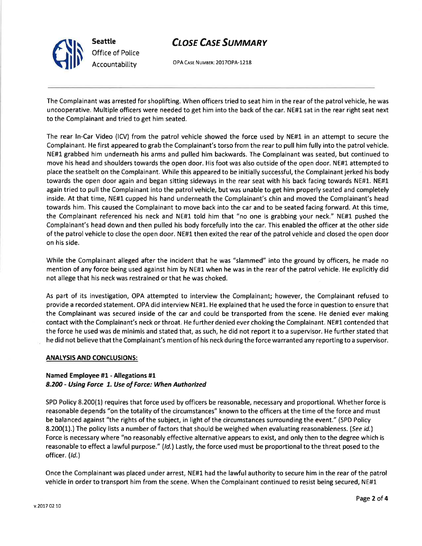# **CLOSE CASE SUMMARY**



OPA CASE NUMBER: 2017OPA-1218

The Complainant was arrested for shoplifting. When officers tried to seat him in the rear of the patrol vehicle, he was uncooperative. Multiple officers were needed to get him into the back of the car. NE#1 sat in the rear right seat next to the Complainant and tried to get him seated.

The rear ln-Car Video (lCV) from the patrol vehicle showed the force used by NE#1 in an attempt to secure the Complainant. He first appeared to grab the Complainant's torso from the rear to pull him fully into the patrol vehicle. NE#1 grabbed him underneath his arms and pulled him backwards. The Complainant was seated, but continued to move his head and shoulders towards the open door. His foot was also outside of the open door. NE#1 attempted to place the seatbelt on the Complainant. While this appeared to be initially successful, the Complainant jerked his body towards the open door again and began sitting sideways in the rear seat with his back facing towards NE#1. NE#1 again tried to pull the Complainant into the patrol vehicle, but was unable to get him properly seated and completely inside. At that time, NE#l cupped his hand underneath the Complainant's chin and moved the Complainant's head towards him. This caused the Complainant to move back into the car and to be seated facing forward. At this time, the Complainant referenced his neck and NE#1 told him that "no one is grabbing your neck." NE#1- pushed the Complainant's head down and then pulled his body forcefully into the car. This enabled the officer at the other side of the patrol vehicle to close the open door. NE#1 then exited the rear of the patrol vehicle and closed the open door on his side.

While the Complainant alleged after the incident that he was "slammed" into the ground by officers, he made no mention of any force being used against him by NE#1 when he was in the rear of the patrol vehicle. He explicitly did not allege that his neck was restrained or that he was choked.

As part of its investigation, OPA attempted to interview the Complainant; however, the Complainant refused to provide a recorded statement. OPA did interview NE#1. He explained that he used the force in question to ensure that the Complainant was secured inside of the car and could be transported from the scene. He denied ever making contact with the Complainant's neck or throat. He further denied ever choking the Complainant. NE#1 contended that the force he used was de minimis and stated that, as such, he did not report it to a supervisor. He further stated that he did not believe that the Complainant's mention of his neck during the force warranted any reporting to a supervisor.

### **ANALYSIS AND CONCLUSIONS:**

## Named Employee #1 - Allegations #1 8.200 - Using Force 1. Use of Force: When Authorized

SPD Policy 8.200(1) requires that force used by officers be reasonable, necessary and proportional. Whether force is reasonable depends "on the totality of the circumstances" known to the officers at the time of the force and must be balanced against "the rights of the subject, in light of the circumstances surrounding the event." (SPD Policy 8.200(1).) The policy lists a number of factors that should be weighed when evaluating reasonableness. (See id.) Force is necessary where "no reasonably effective alternative appears to exist, and only then to the degree which is reasonable to effect a lawful purpose." (/d.) Lastly, the force used must be proportional to the threat posed to the officer. (Id.)

Once the Complainant was placed under arrest, NE#1 had the lawful authority to secure him in the rear of the patrol vehicle in order to transport him from the scene. When the Complainant continued to resist being secured, NE#1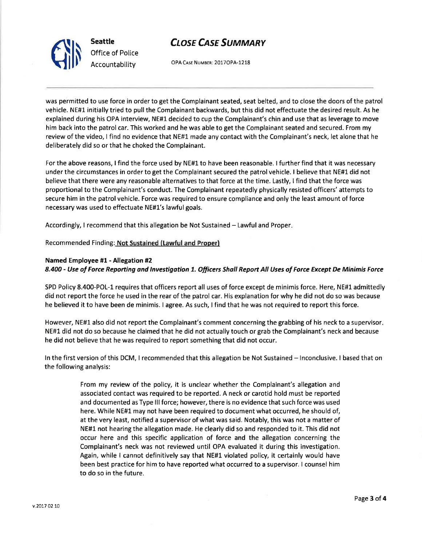## **CLOSE CASE SUMMARY**



Office of Police Accountability

OPA CASE NUMBER: 2017OPA-1218

was permitted to use force in order to get the Complainant seated, seat belted, and to close the doors of the patrol vehicle. NE#1 initially tried to pull the Complainant backwards, but this did not effectuate the desired result. As he explained during his OPA interview, NE#1 decided to cup the Complainant's chin and use that as leverage to move him back into the patrol car. This worked and he was able to get the Complainant seated and secured. From my review of the video, I find no evidence that NE#1 made any contact with the Complainant's neck, let alone that he deliberately did so or that he choked the Complainant.

For the above reasons, I find the force used by NE#1 to have been reasonable. I further find that it was necessary under the circumstances in order to get the Complainant secured the patrol vehicle. I believe that NE#1 did not believe that there were any reasonable alternatives to that force at the time. Lastly, I find that the force was proportional to the Complainant's conduct. The Complainant repeatedly physically resisted officers' attempts to secure him in the patrol vehicle. Force was required to ensure compliance and only the least amount of force necessary was used to effectuate NE#1's lawful goals.

Accordingly, I recommend that this allegation be Not Sustained – Lawful and Proper.

Recommended Finding: Not Sustained (lawful and Proper)

## Named Employee #1 - Allegation #2

8.400 - Use of Force Reporting and Investigation 1. Officers Shall Report All Uses of Force Except De Minimis Force

SPD Policy 8.400-POL-1 requires that officers report all uses of force except de minimis force. Here, NE#1 admittedly did not report the force he used in the rear of the patrol car. His explanation for why he did not do so was because he believed it to have been de minimis. I agree. As such, I find that he was not required to report this force.

However, NE#1 also did not report the Complainant's comment concerning the grabbing of his neck to a supervisor NE#1 did not do so because he claimed that he did not actually touch or grab the Complainant's neck and because he did not believe that he was required to report something that did not occur.

ln the first version of this DCM, I recommended that this allegation be Not Sustained - lnconclusive. I based that on the following analysis:

> From my review of the policy, it is unclear whether the Complainant's allegation and associated contact was required to be reported. A neck or carotid hold must be reported and documented as Type III force; however, there is no evidence that such force was used here. While NE#1 may not have been required to document what occurred, he should of, at the very least, notified a supervisor of what was said. Notably, this was not a matter of NE#1 not hearing the allegation made. He clearly did so and responded to it. This did not occur here and this specific application of force and the allegation concerning the Complainant's neck was not reviewed until OPA evaluated it during this investigation. Again, while I cannot definitively say that NE#1 violated policy, it certainly would have been best practice for him to have reported what occurred to a supervisor. I counsel him to do so in the future.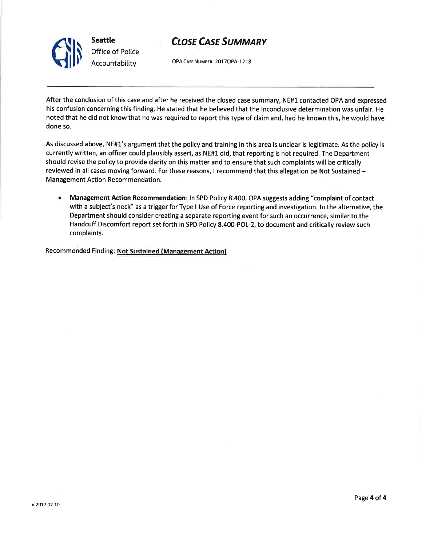



OPA Case NUMBER: 2O1TOPA-I218

After the conclusion of this case and after he received the closed case summary, NE#1 contacted OPA and expressed his confusion concerning this finding. He stated that he believed that the lnconclusive determination was unfair. He noted that he did not know that he was required to report this type of claim and, had he known this, he would have done so.

As discussed above, NE#1's argument that the policy and training in this area is unclear is legitimate. As the policy is currently written, an officer could plausibly assert, as NE#l did, that reporting is not required. The Department should revise the policy to provide clarity on this matter and to ensure that such complaints will be critically reviewed in all cases moving forward. For these reasons, I recommend that this allegation be Not Sustained -Management Action Recommendation.

<sup>a</sup> Management Action Recommendation: ln SPD Policy 8.400, OPA suggests adding "complaint of contact with a subject's neck" as a trigger for Type I Use of Force reporting and investigation. ln the alternative, the Department should consider creating a separate reporting event for such an occurrence, similar to the Handcuff Discomfort report set forth in SPD Policy 8.400-POL-Z, to document and critically review such complaints.

Recommended Finding: Not Sustained (Management Action)